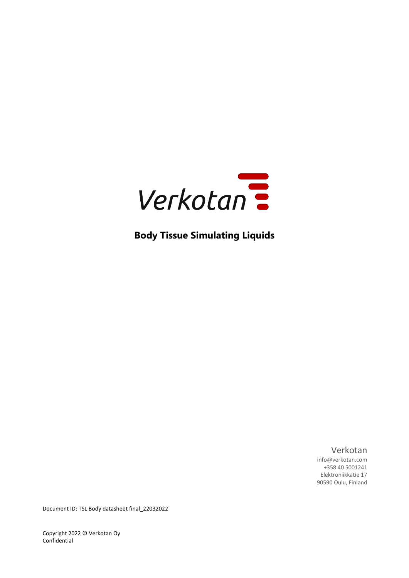

**Body Tissue Simulating Liquids**

Verkotan

info@verkotan.com +358 40 5001241 Elektroniikkatie 17 90590 Oulu, Finland

Document ID: TSL Body datasheet final\_22032022

Copyright 2022 © Verkotan Oy Confidential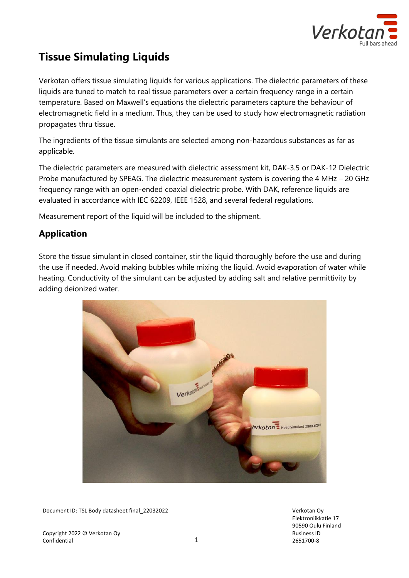

# **Tissue Simulating Liquids**

Verkotan offers tissue simulating liquids for various applications. The dielectric parameters of these liquids are tuned to match to real tissue parameters over a certain frequency range in a certain temperature. Based on Maxwell's equations the dielectric parameters capture the behaviour of electromagnetic field in a medium. Thus, they can be used to study how electromagnetic radiation propagates thru tissue.

The ingredients of the tissue simulants are selected among non-hazardous substances as far as applicable.

The dielectric parameters are measured with dielectric assessment kit, DAK-3.5 or DAK-12 Dielectric Probe manufactured by SPEAG. The dielectric measurement system is covering the 4 MHz – 20 GHz frequency range with an open-ended coaxial dielectric probe. With DAK, reference liquids are evaluated in accordance with IEC 62209, IEEE 1528, and several federal regulations.

Measurement report of the liquid will be included to the shipment.

# **Application**

Store the tissue simulant in closed container, stir the liquid thoroughly before the use and during the use if needed. Avoid making bubbles while mixing the liquid. Avoid evaporation of water while heating. Conductivity of the simulant can be adjusted by adding salt and relative permittivity by adding deionized water.



Document ID: TSL Body datasheet final\_22032022 Verkotan Oy

Copyright 2022 © Verkotan Oy Confidential 2012 12:00 12:00 12:00 12:00 12:00 12:00 12:00 12:00 12:00 12:00 12:00 12:00 12:00 12:00 12:00 12:00 12:00 12:00 12:00 12:00 12:00 12:00 12:00 12:00 12:00 12:00 12:00 12:00 12:00 12:00 12:00 12:00 12:00 12:00 Elektroniikkatie 17 90590 Oulu Finland Business ID 2651700-8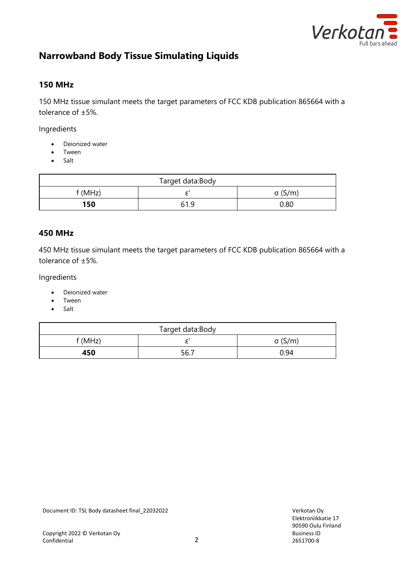

# **Narrowband Body Tissue Simulating Liquids**

### **150 MHz**

150 MHz tissue simulant meets the target parameters of FCC KDB publication 865664 with a tolerance of ±5%.

Ingredients

- Deionized water
- Tween
- Salt

| Target data:Body |     |                |
|------------------|-----|----------------|
| f (MHz)          |     | $\sigma$ (S/m) |
| 150              | 619 | 0.80           |

#### **450 MHz**

450 MHz tissue simulant meets the target parameters of FCC KDB publication 865664 with a tolerance of ±5%.

Ingredients

- Deionized water
- Tween
- Salt

| Target data:Body |      |                |
|------------------|------|----------------|
| f (MHz)          |      | $\sigma$ (S/m) |
| 450              | 56.7 | 0.94           |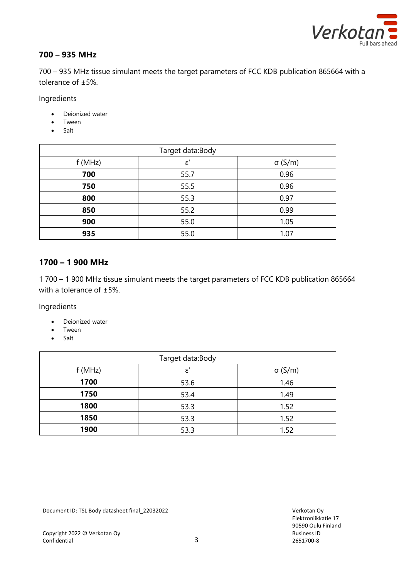

### **700 – 935 MHz**

700 – 935 MHz tissue simulant meets the target parameters of FCC KDB publication 865664 with a tolerance of ±5%.

Ingredients

- Deionized water
- Tween
- Salt

| Target data:Body |                 |                |
|------------------|-----------------|----------------|
| f(MHz)           | $\varepsilon$ ' | $\sigma$ (S/m) |
| 700              | 55.7            | 0.96           |
| 750              | 55.5            | 0.96           |
| 800              | 55.3            | 0.97           |
| 850              | 55.2            | 0.99           |
| 900              | 55.0            | 1.05           |
| 935              | 55.0            | 1.07           |

#### **1700 – 1 900 MHz**

1 700 – 1 900 MHz tissue simulant meets the target parameters of FCC KDB publication 865664 with a tolerance of ±5%.

Ingredients

- Deionized water
- Tween
- Salt

| Target data:Body |                 |                |
|------------------|-----------------|----------------|
| f(MHz)           | $\varepsilon$ ' | $\sigma$ (S/m) |
| 1700             | 53.6            | 1.46           |
| 1750             | 53.4            | 1.49           |
| 1800             | 53.3            | 1.52           |
| 1850             | 53.3            | 1.52           |
| 1900             | 53.3            | 1.52           |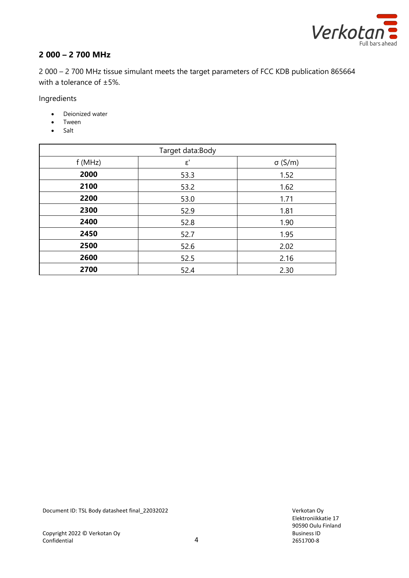

# **2 000 – 2 700 MHz**

2 000 – 2 700 MHz tissue simulant meets the target parameters of FCC KDB publication 865664 with a tolerance of ±5%.

Ingredients

- Deionized water
- Tween
- Salt

| Target data:Body |             |                |
|------------------|-------------|----------------|
| f(MHz)           | $\epsilon'$ | $\sigma$ (S/m) |
| 2000             | 53.3        | 1.52           |
| 2100             | 53.2        | 1.62           |
| 2200             | 53.0        | 1.71           |
| 2300             | 52.9        | 1.81           |
| 2400             | 52.8        | 1.90           |
| 2450             | 52.7        | 1.95           |
| 2500             | 52.6        | 2.02           |
| 2600             | 52.5        | 2.16           |
| 2700             | 52.4        | 2.30           |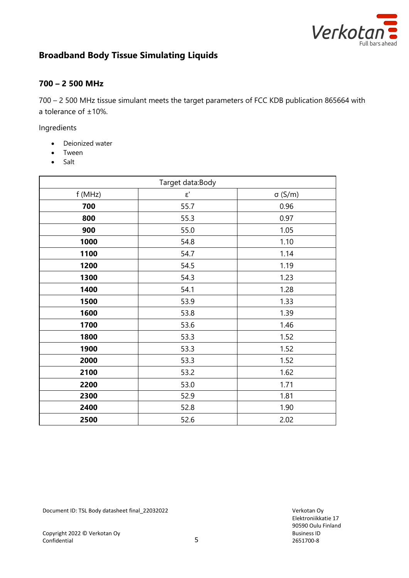

# **Broadband Body Tissue Simulating Liquids**

### **700 – 2 500 MHz**

700 – 2 500 MHz tissue simulant meets the target parameters of FCC KDB publication 865664 with a tolerance of ±10%.

Ingredients

- Deionized water
- Tween
- Salt

| Target data:Body |             |                |
|------------------|-------------|----------------|
| f (MHz)          | $\epsilon'$ | $\sigma$ (S/m) |
| 700              | 55.7        | 0.96           |
| 800              | 55.3        | 0.97           |
| 900              | 55.0        | 1.05           |
| 1000             | 54.8        | 1.10           |
| 1100             | 54.7        | 1.14           |
| 1200             | 54.5        | 1.19           |
| 1300             | 54.3        | 1.23           |
| 1400             | 54.1        | 1.28           |
| 1500             | 53.9        | 1.33           |
| 1600             | 53.8        | 1.39           |
| 1700             | 53.6        | 1.46           |
| 1800             | 53.3        | 1.52           |
| 1900             | 53.3        | 1.52           |
| 2000             | 53.3        | 1.52           |
| 2100             | 53.2        | 1.62           |
| 2200             | 53.0        | 1.71           |
| 2300             | 52.9        | 1.81           |
| 2400             | 52.8        | 1.90           |
| 2500             | 52.6        | 2.02           |